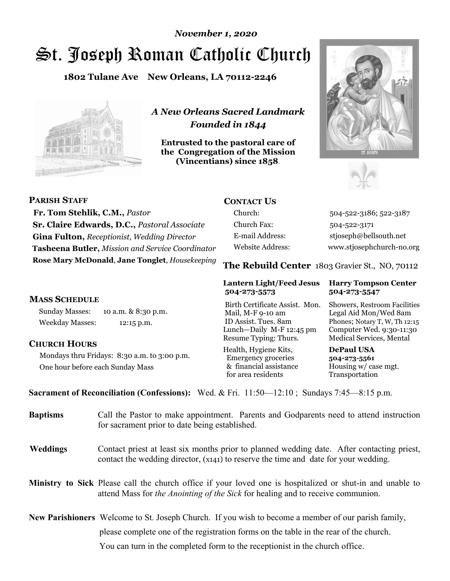# St. Joseph Roman Catholic Church *November 1, 2020*

**1802 Tulane Ave New Orleans, LA 70112-2246**



*A New Orleans Sacred Landmark Founded in 1844* 

**Entrusted to the pastoral care of the Congregation of the Mission (Vincentians) since 1858**.





| <b>PARISH STAFF</b>                                | <b>CONTACT US</b>       |                                                |
|----------------------------------------------------|-------------------------|------------------------------------------------|
| Fr. Tom Stehlik, C.M., Pastor                      | Church:                 | 504-522-3186; 522-3187                         |
| Sr. Claire Edwards, D.C., Pastoral Associate       | Church Fax:             | 504-522-3171                                   |
| <b>Gina Fulton, Receptionist, Wedding Director</b> | E-mail Address:         | stjoseph@bellsouth.net                         |
| Tasheena Butler, Mission and Service Coordinator   | <b>Website Address:</b> | www.stjosephchurch-no.org                      |
| Rose Mary McDonald, Jane Tonglet, Housekeeping     |                         | The Rebuild Center 1803 Gravier St., NO, 70112 |

#### **MASS SCHEDULE**

Sunday Masses: 10 a.m. & 8:30 p.m. Weekday Masses: 12:15 p.m.

### **CHURCH HOURS**

Mondays thru Fridays: 8:30 a.m. to 3:00 p.m. One hour before each Sunday Mass

#### **Lantern Light/Feed Jesus Harry Tompson Center 504-273-5573 504-273-5547**

Birth Certificate Assist. Mon. Showers, Restroom Facilities Mail, M-F 9-10 am Legal Aid Mon/Wed 8am ID Assist. Tues. 8am Phones; Notary T, W, Th 12:15 Lunch—Daily M-F 12:45 pm Computer Wed. 9:30-11:30 Resume Typing: Thurs. Medical Services, Mental

Health, Hygiene Kits, **DePaul USA**  Emergency groceries **504-273-5561** & financial assistance Housing w/ case mgt.<br>for area residents Transportation for area residents

**Sacrament of Reconciliation (Confessions):** Wed. & Fri. 11:50—12:10 ; Sundays 7:45—8:15 p.m.

| <b>Baptisms</b> | Call the Pastor to make appointment. Parents and Godparents need to attend instruction<br>for sacrament prior to date being established.                                                                                                                                                                                    |
|-----------------|-----------------------------------------------------------------------------------------------------------------------------------------------------------------------------------------------------------------------------------------------------------------------------------------------------------------------------|
| <b>Weddings</b> | Contact priest at least six months prior to planned wedding date. After contacting priest,<br>contact the wedding director, (x141) to reserve the time and date for your wedding.                                                                                                                                           |
|                 | Ministry to Sick Please call the church office if your loved one is hospitalized or shut-in and unable to<br>attend Mass for the Anointing of the Sick for healing and to receive communion.                                                                                                                                |
|                 | <b>New Parishioners</b> Welcome to St. Joseph Church. If you wish to become a member of our parish family,                                                                                                                                                                                                                  |
|                 | please complete one of the registration forms on the table in the rear of the church.<br>$\mathcal{L}$ , and the state of the state of the state of the state of the state of the state of the state of the state of the state of the state of the state of the state of the state of the state of the state of the state o |

You can turn in the completed form to the receptionist in the church office.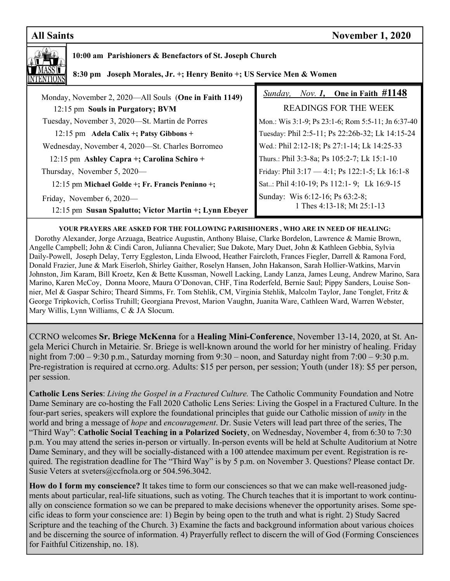# **All Saints** November 1, 2020



## **10:00 am Parishioners & Benefactors of St. Joseph Church**

 **8:30 pm Joseph Morales, Jr. +; Henry Benito +; US Service Men & Women** 

| Monday, November 2, 2020—All Souls (One in Faith 1149) | <i>Nov. 1</i> , One in Faith $\#1148$<br>Sunday,   |
|--------------------------------------------------------|----------------------------------------------------|
| 12:15 pm Souls in Purgatory; BVM                       | <b>READINGS FOR THE WEEK</b>                       |
| Tuesday, November 3, 2020—St. Martin de Porres         | Mon.: Wis 3:1-9; Ps 23:1-6; Rom 5:5-11; Jn 6:37-40 |
| 12:15 pm Adela Calix +; Patsy Gibbons +                | Tuesday: Phil 2:5-11; Ps 22:26b-32; Lk 14:15-24    |
| Wednesday, November 4, 2020—St. Charles Borromeo       | Wed.: Phil 2:12-18; Ps 27:1-14; Lk 14:25-33        |
| 12:15 pm Ashley Capra +; Carolina Schiro +             | Thurs.: Phil 3:3-8a; Ps 105:2-7; Lk 15:1-10        |
| Thursday, November 5, 2020—                            | Friday: Phil 3:17 - 4:1; Ps 122:1-5; Lk 16:1-8     |
| 12:15 pm Michael Golde +; Fr. Francis Peninno +;       | Sat: Phil 4:10-19; Ps 112:1-9; Lk 16:9-15          |
| Friday, November 6, 2020—                              | Sunday: Wis 6:12-16; Ps 63:2-8;                    |
| 12:15 pm Susan Spalutto; Victor Martin +; Lynn Ebeyer  | 1 Thes 4:13-18; Mt 25:1-13                         |

**YOUR PRAYERS ARE ASKED FOR THE FOLLOWING PARISHIONERS , WHO ARE IN NEED OF HEALING:**  Dorothy Alexander, Jorge Arzuaga, Beatrice Augustin, Anthony Blaise, Clarke Bordelon, Lawrence & Mamie Brown, Angelle Campbell; John & Cindi Caron, Julianna Chevalier; Sue Dakote, Mary Duet, John & Kathleen Gebbia, Sylvia Daily-Powell, Joseph Delay, Terry Eggleston, Linda Elwood, Heather Faircloth, Frances Fiegler, Darrell & Ramona Ford, Donald Frazier, June & Mark Eiserloh, Shirley Gaither, Roselyn Hansen, John Hakanson, Sarah Hollier-Watkins, Marvin Johnston, Jim Karam, Bill Kroetz, Ken & Bette Kussman, Nowell Lacking, Landy Lanza, James Leung, Andrew Marino, Sara Marino, Karen McCoy, Donna Moore, Maura O'Donovan, CHF, Tina Roderfeld, Bernie Saul; Pippy Sanders, Louise Sonnier, Mel & Gaspar Schiro; Theard Simms, Fr. Tom Stehlik, CM, Virginia Stehlik, Malcolm Taylor, Jane Tonglet, Fritz & George Tripkovich, Corliss Truhill; Georgiana Prevost, Marion Vaughn, Juanita Ware, Cathleen Ward, Warren Webster, Mary Willis, Lynn Williams, C & JA Slocum.

CCRNO welcomes **Sr. Briege McKenna** for a **Healing Mini-Conference**, November 13-14, 2020, at St. Angela Merici Church in Metairie. Sr. Briege is well-known around the world for her ministry of healing. Friday night from 7:00 – 9:30 p.m., Saturday morning from 9:30 – noon, and Saturday night from 7:00 – 9:30 p.m. Pre-registration is required at ccrno.org. Adults: \$15 per person, per session; Youth (under 18): \$5 per person, per session.

**Catholic Lens Series**: *Living the Gospel in a Fractured Culture.* The Catholic Community Foundation and Notre Dame Seminary are co-hosting the Fall 2020 Catholic Lens Series: Living the Gospel in a Fractured Culture. In the four-part series, speakers will explore the foundational principles that guide our Catholic mission of *unity* in the world and bring a message of *hope* and *encouragement*. Dr. Susie Veters will lead part three of the series, The "Third Way": **Catholic Social Teaching in a Polarized Society**, on Wednesday, November 4, from 6:30 to 7:30 p.m. You may attend the series in-person or virtually. In-person events will be held at Schulte Auditorium at Notre Dame Seminary, and they will be socially-distanced with a 100 attendee maximum per event. Registration is required. The registration deadline for The "Third Way" is by 5 p.m. on November 3. Questions? Please contact Dr. Susie Veters at sveters@ccfnola.org or 504.596.3042.

**How do I form my conscience?** It takes time to form our consciences so that we can make well-reasoned judgments about particular, real-life situations, such as voting. The Church teaches that it is important to work continually on conscience formation so we can be prepared to make decisions whenever the opportunity arises. Some specific ideas to form your conscience are: 1) Begin by being open to the truth and what is right. 2) Study Sacred Scripture and the teaching of the Church. 3) Examine the facts and background information about various choices and be discerning the source of information. 4) Prayerfully reflect to discern the will of God (Forming Consciences for Faithful Citizenship, no. 18).